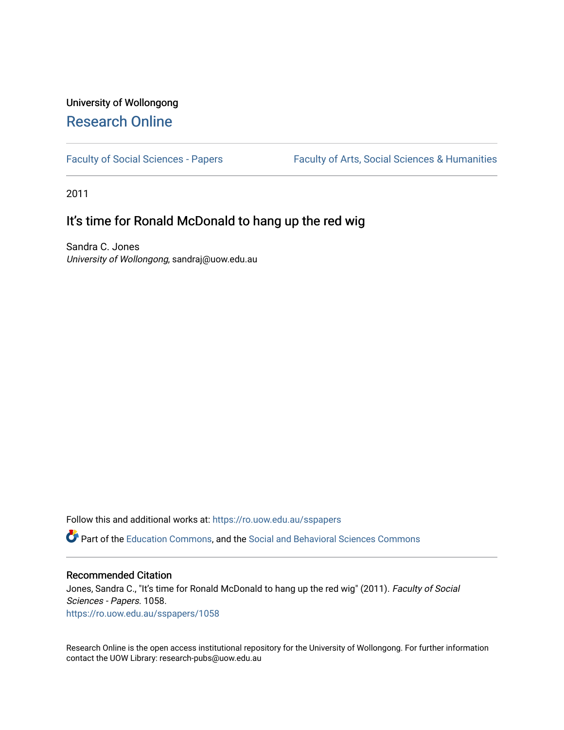# University of Wollongong [Research Online](https://ro.uow.edu.au/)

[Faculty of Social Sciences - Papers](https://ro.uow.edu.au/sspapers) Faculty of Arts, Social Sciences & Humanities

2011

### It's time for Ronald McDonald to hang up the red wig

Sandra C. Jones University of Wollongong, sandraj@uow.edu.au

Follow this and additional works at: [https://ro.uow.edu.au/sspapers](https://ro.uow.edu.au/sspapers?utm_source=ro.uow.edu.au%2Fsspapers%2F1058&utm_medium=PDF&utm_campaign=PDFCoverPages) 

Part of the [Education Commons](http://network.bepress.com/hgg/discipline/784?utm_source=ro.uow.edu.au%2Fsspapers%2F1058&utm_medium=PDF&utm_campaign=PDFCoverPages), and the [Social and Behavioral Sciences Commons](http://network.bepress.com/hgg/discipline/316?utm_source=ro.uow.edu.au%2Fsspapers%2F1058&utm_medium=PDF&utm_campaign=PDFCoverPages) 

### Recommended Citation

Jones, Sandra C., "It's time for Ronald McDonald to hang up the red wig" (2011). Faculty of Social Sciences - Papers. 1058. [https://ro.uow.edu.au/sspapers/1058](https://ro.uow.edu.au/sspapers/1058?utm_source=ro.uow.edu.au%2Fsspapers%2F1058&utm_medium=PDF&utm_campaign=PDFCoverPages)

Research Online is the open access institutional repository for the University of Wollongong. For further information contact the UOW Library: research-pubs@uow.edu.au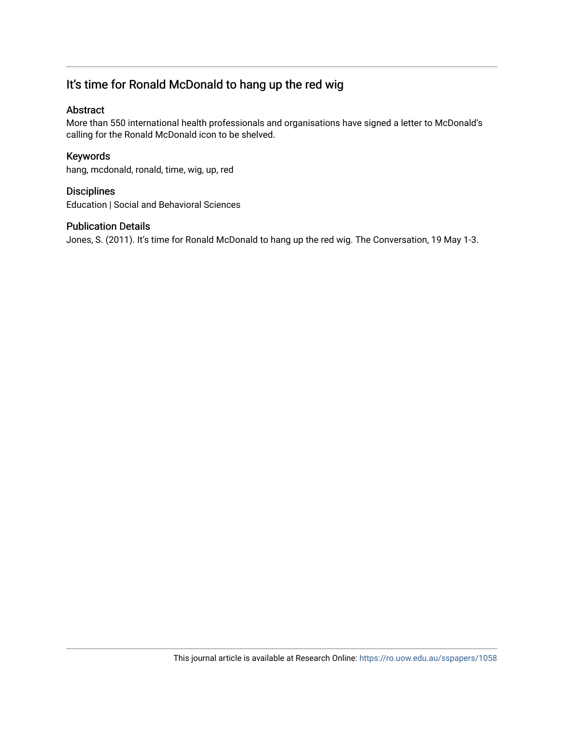## It's time for Ronald McDonald to hang up the red wig

### Abstract

More than 550 international health professionals and organisations have signed a letter to McDonald's calling for the Ronald McDonald icon to be shelved.

### Keywords

hang, mcdonald, ronald, time, wig, up, red

### **Disciplines**

Education | Social and Behavioral Sciences

### Publication Details

Jones, S. (2011). It's time for Ronald McDonald to hang up the red wig. The Conversation, 19 May 1-3.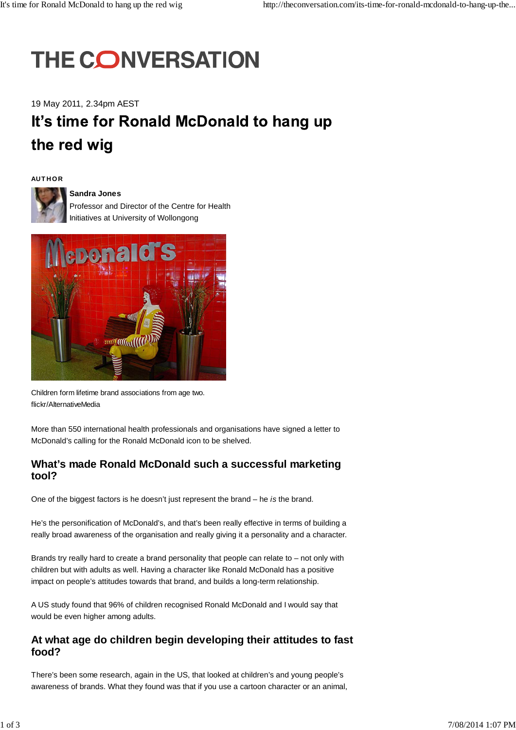# **THE CONVERSATION**

19 May 2011, 2.34pm AEST

# It's time for Ronald McDonald to hang up the red wig

### **AUT HO R**



### **Sandra Jones**

Professor and Director of the Centre for Health Initiatives at University of Wollongong



Children form lifetime brand associations from age two. flickr/AlternativeMedia

More than 550 international health professionals and organisations have signed a letter to McDonald's calling for the Ronald McDonald icon to be shelved.

### **What's made Ronald McDonald such a successful marketing tool?**

One of the biggest factors is he doesn't just represent the brand – he *is* the brand.

He's the personification of McDonald's, and that's been really effective in terms of building a really broad awareness of the organisation and really giving it a personality and a character.

Brands try really hard to create a brand personality that people can relate to – not only with children but with adults as well. Having a character like Ronald McDonald has a positive impact on people's attitudes towards that brand, and builds a long-term relationship.

A US study found that 96% of children recognised Ronald McDonald and I would say that would be even higher among adults.

### **At what age do children begin developing their attitudes to fast food?**

There's been some research, again in the US, that looked at children's and young people's awareness of brands. What they found was that if you use a cartoon character or an animal,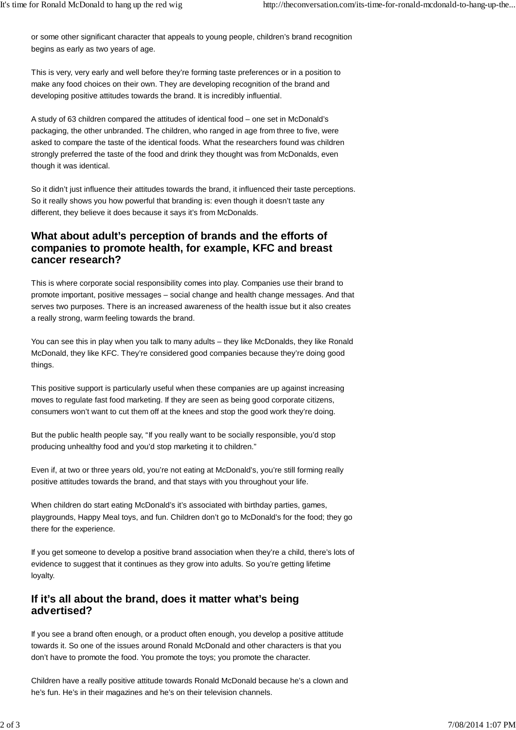or some other significant character that appeals to young people, children's brand recognition begins as early as two years of age.

This is very, very early and well before they're forming taste preferences or in a position to make any food choices on their own. They are developing recognition of the brand and developing positive attitudes towards the brand. It is incredibly influential.

A study of 63 children compared the attitudes of identical food – one set in McDonald's packaging, the other unbranded. The children, who ranged in age from three to five, were asked to compare the taste of the identical foods. What the researchers found was children strongly preferred the taste of the food and drink they thought was from McDonalds, even though it was identical.

So it didn't just influence their attitudes towards the brand, it influenced their taste perceptions. So it really shows you how powerful that branding is: even though it doesn't taste any different, they believe it does because it says it's from McDonalds.

### **What about adult's perception of brands and the efforts of companies to promote health, for example, KFC and breast cancer research?**

This is where corporate social responsibility comes into play. Companies use their brand to promote important, positive messages – social change and health change messages. And that serves two purposes. There is an increased awareness of the health issue but it also creates a really strong, warm feeling towards the brand.

You can see this in play when you talk to many adults – they like McDonalds, they like Ronald McDonald, they like KFC. They're considered good companies because they're doing good things.

This positive support is particularly useful when these companies are up against increasing moves to regulate fast food marketing. If they are seen as being good corporate citizens, consumers won't want to cut them off at the knees and stop the good work they're doing.

But the public health people say, "If you really want to be socially responsible, you'd stop producing unhealthy food and you'd stop marketing it to children."

Even if, at two or three years old, you're not eating at McDonald's, you're still forming really positive attitudes towards the brand, and that stays with you throughout your life.

When children do start eating McDonald's it's associated with birthday parties, games, playgrounds, Happy Meal toys, and fun. Children don't go to McDonald's for the food; they go there for the experience.

If you get someone to develop a positive brand association when they're a child, there's lots of evidence to suggest that it continues as they grow into adults. So you're getting lifetime loyalty.

### **If it's all about the brand, does it matter what's being advertised?**

If you see a brand often enough, or a product often enough, you develop a positive attitude towards it. So one of the issues around Ronald McDonald and other characters is that you don't have to promote the food. You promote the toys; you promote the character.

Children have a really positive attitude towards Ronald McDonald because he's a clown and he's fun. He's in their magazines and he's on their television channels.